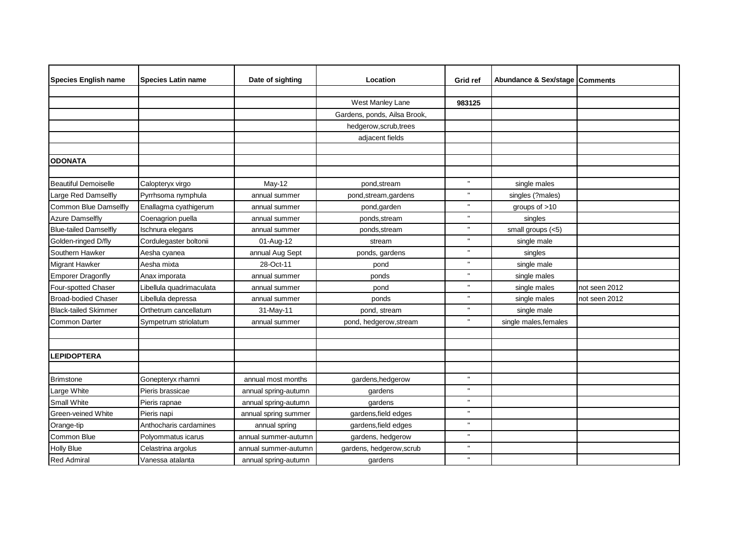| <b>Species English name</b>  | <b>Species Latin name</b> | Date of sighting     | Location                     | Grid ref     | Abundance & Sex/stage | <b>Comments</b> |
|------------------------------|---------------------------|----------------------|------------------------------|--------------|-----------------------|-----------------|
|                              |                           |                      |                              |              |                       |                 |
|                              |                           |                      | West Manley Lane             | 983125       |                       |                 |
|                              |                           |                      | Gardens, ponds, Ailsa Brook, |              |                       |                 |
|                              |                           |                      | hedgerow, scrub, trees       |              |                       |                 |
|                              |                           |                      | adjacent fields              |              |                       |                 |
|                              |                           |                      |                              |              |                       |                 |
| <b>ODONATA</b>               |                           |                      |                              |              |                       |                 |
|                              |                           |                      |                              |              |                       |                 |
| <b>Beautiful Demoiselle</b>  | Calopteryx virgo          | May-12               | pond, stream                 |              | single males          |                 |
| Large Red Damselfly          | Pyrrhsoma nymphula        | annual summer        | pond, stream, gardens        | $\mathbf{H}$ | singles (?males)      |                 |
| Common Blue Damselfly        | Enallagma cyathigerum     | annual summer        | pond,garden                  |              | groups of $>10$       |                 |
| <b>Azure Damselfly</b>       | Coenagrion puella         | annual summer        | ponds, stream                |              | singles               |                 |
| <b>Blue-tailed Damselfly</b> | Ischnura elegans          | annual summer        | ponds, stream                |              | small groups (<5)     |                 |
| Golden-ringed D/fly          | Cordulegaster boltonii    | 01-Aug-12            | stream                       | $\mathbf{H}$ | single male           |                 |
| Southern Hawker              | Aesha cyanea              | annual Aug Sept      | ponds, gardens               |              | singles               |                 |
| <b>Migrant Hawker</b>        | Aesha mixta               | 28-Oct-11            | pond                         |              | single male           |                 |
| <b>Emporer Dragonfly</b>     | Anax imporata             | annual summer        | ponds                        | $\mathbf{u}$ | single males          |                 |
| Four-spotted Chaser          | Libellula quadrimaculata  | annual summer        | pond                         |              | single males          | not seen 2012   |
| Broad-bodied Chaser          | Libellula depressa        | annual summer        | ponds                        |              | single males          | not seen 2012   |
| <b>Black-tailed Skimmer</b>  | Orthetrum cancellatum     | 31-May-11            | pond, stream                 |              | single male           |                 |
| <b>Common Darter</b>         | Sympetrum striolatum      | annual summer        | pond, hedgerow, stream       | $\mathbf{H}$ | single males, females |                 |
|                              |                           |                      |                              |              |                       |                 |
|                              |                           |                      |                              |              |                       |                 |
| <b>LEPIDOPTERA</b>           |                           |                      |                              |              |                       |                 |
|                              |                           |                      |                              |              |                       |                 |
| <b>Brimstone</b>             | Gonepteryx rhamni         | annual most months   | gardens, hedgerow            | $\mathbf{u}$ |                       |                 |
| Large White                  | Pieris brassicae          | annual spring-autumn | gardens                      |              |                       |                 |
| <b>Small White</b>           | Pieris rapnae             | annual spring-autumn | gardens                      | $\mathbf{u}$ |                       |                 |
| Green-veined White           | Pieris napi               | annual spring summer | gardens, field edges         | $\mathbf{u}$ |                       |                 |
| Orange-tip                   | Anthocharis cardamines    | annual spring        | gardens, field edges         |              |                       |                 |
| Common Blue                  | Polyommatus icarus        | annual summer-autumn | gardens, hedgerow            | $\mathbf{u}$ |                       |                 |
| <b>Holly Blue</b>            | Celastrina argolus        | annual summer-autumn | gardens, hedgerow, scrub     |              |                       |                 |
| <b>Red Admiral</b>           | Vanessa atalanta          | annual spring-autumn | gardens                      | $\mathbf{H}$ |                       |                 |